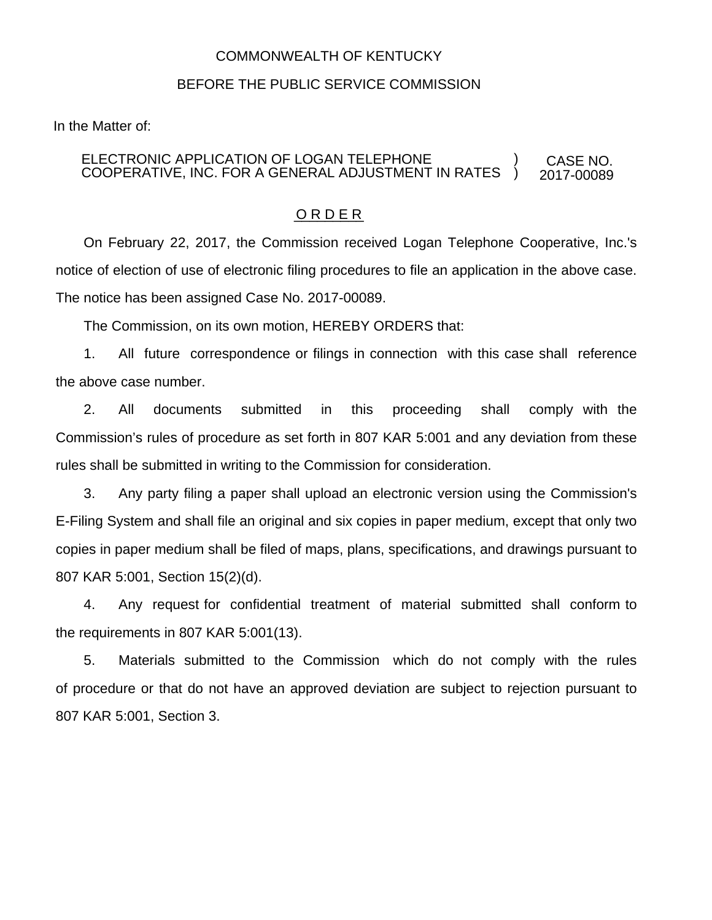## COMMONWEALTH OF KENTUCKY

## BEFORE THE PUBLIC SERVICE COMMISSION

In the Matter of:

## ELECTRONIC APPLICATION OF LOGAN TELEPHONE COOPERATIVE, INC. FOR A GENERAL ADJUSTMENT IN RATES CASE NO. 2017-00089 ) )

## O R D E R

On February 22, 2017, the Commission received Logan Telephone Cooperative, Inc.'s notice of election of use of electronic filing procedures to file an application in the above case. The notice has been assigned Case No. 2017-00089.

The Commission, on its own motion, HEREBY ORDERS that:

1. All future correspondence or filings in connection with this case shall reference the above case number.

2. All documents submitted in this proceeding shall comply with the Commission's rules of procedure as set forth in 807 KAR 5:001 and any deviation from these rules shall be submitted in writing to the Commission for consideration.

3. Any party filing a paper shall upload an electronic version using the Commission's E-Filing System and shall file an original and six copies in paper medium, except that only two copies in paper medium shall be filed of maps, plans, specifications, and drawings pursuant to 807 KAR 5:001, Section 15(2)(d).

4. Any request for confidential treatment of material submitted shall conform to the requirements in 807 KAR 5:001(13).

5. Materials submitted to the Commission which do not comply with the rules of procedure or that do not have an approved deviation are subject to rejection pursuant to 807 KAR 5:001, Section 3.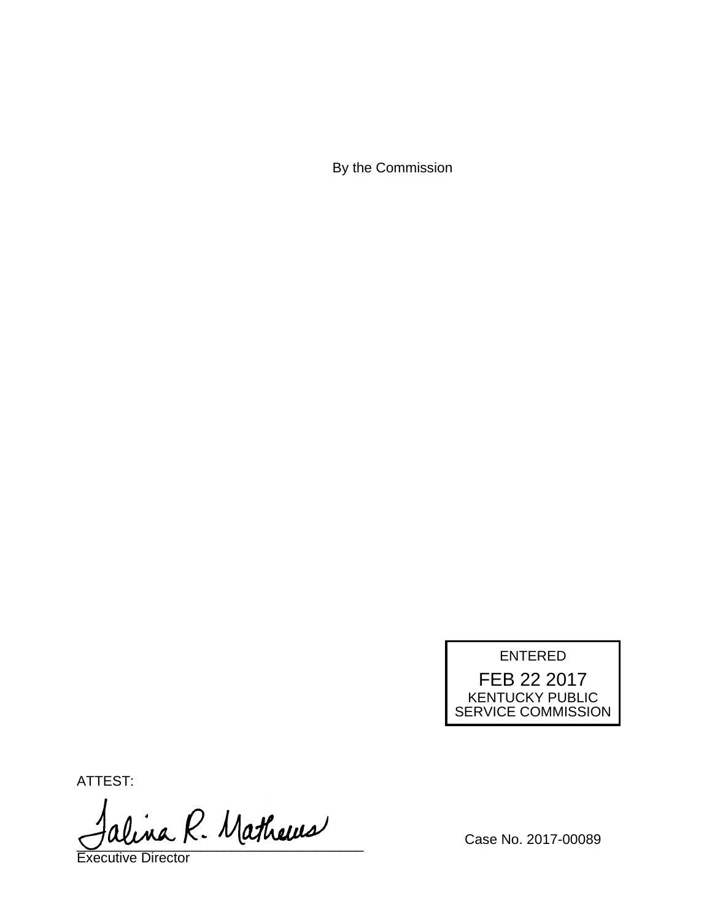By the Commission



ATTEST:

alina R. Mathews

Executive Director

Case No. 2017-00089